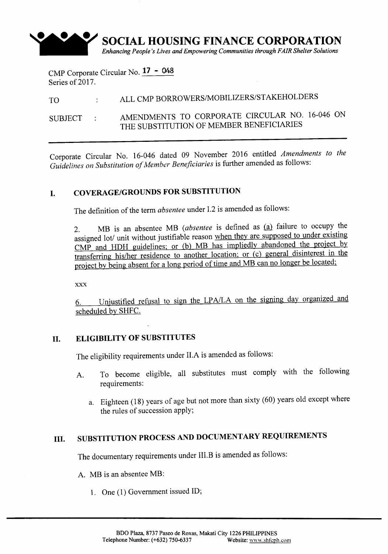

CMP Corporate Circular No.  $17 - 048$ Series of 2017.

# TO ALL CMP BORROWERS/MOBILIZERS/STAKEHOLDERS

SUBJECT : AMENDMENTS TO CORPORATE CIRCULAR NO. 16-046 ON THE SUBSTITUTION OF MEMBER BENEFICIARIES

Corporate Circular No. 16-046 dated 09 November 2016 entitled *Amendments to the Guidelines on Substitution of Member Beneficiaries* is further amended as follows:

## **I. COVERAGE/GROUNDS FOR SUBSTITUTION**

The definition of the term *absentee* under I.2 is amended as follows:

2. MB is an absentee MB (absentee is defined as  $(a)$  failure to occupy the assigned lot/ unit without justifiable reason when they are supposed to under existing CMP and HDH guidelines; or (b) MB has impliedly abandoned the project by transferring his/her residence to another location; or (c) general disinterest in the project by being absent for a long period of time and MB can no longer be located;

xxx

6. Unjustified refusal to sign the LPA/LA on the signing day organized and scheduled by SHFC.

### **II. ELIGIBILITY OF SUBSTITUTES**

The eligibility requirements under ILA is amended as follows:

- A. To become eligible, all substitutes must comply with the following requirements:
	- a. Eighteen (18) years of age but not more than sixty (60) years old except where the rules of succession apply;

# **III. SUBSTITUTION PROCESS AND DOCUMENTARY REQUIREMENTS**

The documentary requirements under III.B is amended as follows:

- A. MB is an absentee MB:
	- 1. One (1) Government issued ID;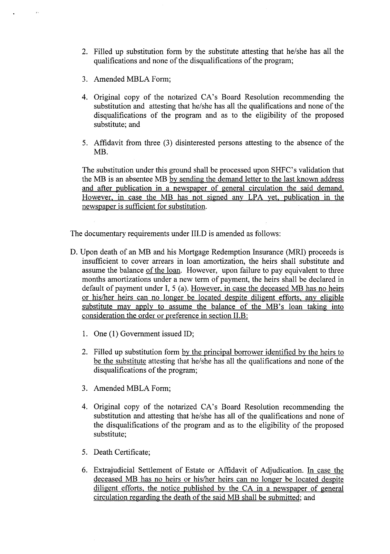- 2. Filled up substitution form by the substitute attesting that he/she has all the qualifications and none of the disqualifications of the program;
- 3. Amended MBLA Form;

 $\epsilon$ 

- 4. Original copy of the notarized CA's Board Resolution recommending the substitution and attesting that he/she has all the qualifications and none of the disqualifications of the program and as to the eligibility of the proposed substitute; and
- 5. Affidavit from three (3) disinterested persons attesting to the absence of the MB.

The substitution under this ground shall be processed upon SHFC's validation that the MB is an absentee MB by sending the demand letter to the last known address and after publication in a newspaper of general circulation the said demand. However, in case the MB has not signed any LPA yet, publication in the newspaper is sufficient for substitution.

The documentary requirements under III.D is amended as follows:

- D. Upon death of an MB and his Mortgage Redemption Insurance (MRI) proceeds is insufficient to cover arrears in loan amortization, the heirs shall substitute and assume the balance of the loan. However, upon failure to pay equivalent to three months amortizations under a new term of payment, the heirs shall be declared in default of payment under I, 5 (a). However, in case the deceased MB has no heirs or his/her heirs can no longer be located despite diligent efforts, any eligible substitute may apply to assume the balance of the MB's loan taking into consideration the order or preference in section II.B:
	- 1. One (1) Government issued ID;
	- 2. Filled up substitution form by the principal borrower identified by the heirs to be the substitute attesting that he/she has all the qualifications and none of the disqualifications of the program;
	- 3. Amended MBLA Form;
	- 4. Original copy of the notarized CA's Board Resolution recommending the substitution and attesting that he/she has all of the qualifications and none of the disqualifications of the program and as to the eligibility of the proposed substitute;
	- 5. Death Certificate;
	- 6. Extrajudicial Settlement of Estate or Affidavit of Adjudication. In case the deceased MB has no heirs or his/her heirs can no longer be located despite diligent efforts, the notice published by the CA in a newspaper of general circulation regarding the death of the said MB shall be submitted; and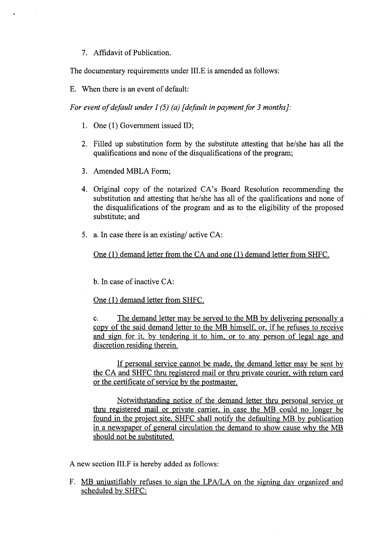#### 7. Affidavit of Publication.

The documentary requirements under III.E is amended as follows:

E. When there is an event of default:

*For event of default under I* (5) *(a) J default in payment for* 3 *months*]:

- 1. One (1) Government issued ID;
- 2. Filled up substitution form by the substitute attesting that he/she has all the qualifications and none of the disqualifications of the program;
- 3. Amended MBLA Form;
- 4. Original copy of the notarized CA's Board Resolution recommending the substitution and attesting that he/she has all of the qualifications and none of the disqualifications of the program and as to the eligibility of the proposed substitute; and
- 5. a. In case there is an existing/ active CA:

One (1) demand letter from the CA and one (1) demand letter from SHFC.

b. In case of inactive CA:

One (1) demand letter from SHFC.

c. The demand letter may be served to the MB by delivering personally a copy of the said demand letter to the MB himself, or, if he refuses to receive and sign for it, by tendering it to him, or to any person of legal age and discretion residing therein.

If personal service cannot be made, the demand letter may be sent by the CA and SHFC thru registered mail or thru private courier, with return card or the certificate of service by the postmaster.

Notwithstanding notice of the demand letter thru personal service or thru registered mail or private carrier, in case the MB could no longer be found in the project site, SHFC shall notify the defaulting MB by publication in a newspaper of general circulation the demand to show cause why the MB should not be substituted.

A new section III.F is hereby added as follows:

F. MB unjustifiably refuses to sign the LPA/LA on the signing day organized and scheduled by SHFC: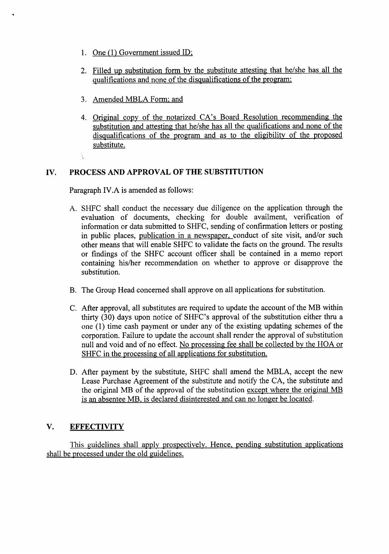- 1. One (1) Government issued ID;
- 2. Filled up substitution form by the substitute attesting that he/she has all the qualifications and none of the disqualifications of the program;
- 3. Amended MBLA Form; and
- 4. Original copy of the notarized CA's Board Resolution recommending the substitution and attesting that he/she has all the qualifications and none of the disqualifications of the program and as to the eligibility of the proposed substitute.  $\hat{\lambda}$

### **IV. PROCESS AND APPROVAL OF THE SUBSTITUTION**

Paragraph IV.A is amended as follows:

- A. SHFC shall conduct the necessary due diligence on the application through the evaluation of documents, checking for double availment, verification of information or data submitted to SHFC, sending of confirmation letters or posting in public places, publication in a newspaper, conduct of site visit, and/or such other means that will enable SHFC to validate the facts on the ground. The results or findings of the SHFC account officer shall be contained in a memo report containing his/her recommendation on whether to approve or disapprove the substitution.
- B. The Group Head concerned shall approve on all applications for substitution.
- C. After approval, all substitutes are required to update the account of the MB within thirty (30) days upon notice of SHFC's approval of the substitution either thru a one (1) time cash payment or under any of the existing updating schemes of the corporation. Failure to update the account shall render the approval of substitution null and void and of no effect. No processing fee shall be collected by the HOA or SHFC in the processing of all applications for substitution.
- D. After payment by the substitute, SHFC shall amend the MBLA, accept the new Lease Purchase Agreement of the substitute and notify the CA, the substitute and the original MB of the approval of the substitution except where the original MB is an absentee MB, is declared disinterested and can no longer be located.

### **V. EFFECTIVITY**

This guidelines shall apply prospectively. Hence, pending substitution applications shall be processed under the old guidelines.